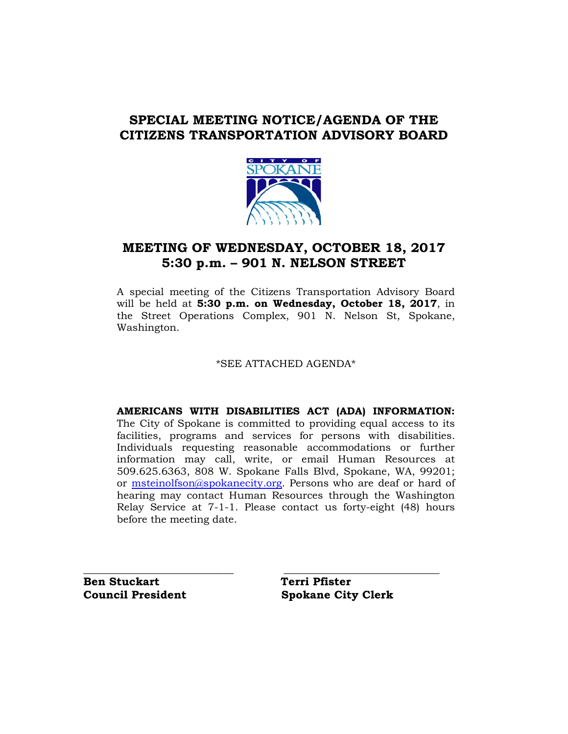## **SPECIAL MEETING NOTICE/AGENDA OF THE CITIZENS TRANSPORTATION ADVISORY BOARD**



## **MEETING OF WEDNESDAY, OCTOBER 18, 2017 5:30 p.m. – 901 N. NELSON STREET**

A special meeting of the Citizens Transportation Advisory Board will be held at **5:30 p.m. on Wednesday, October 18, 2017**, in the Street Operations Complex, 901 N. Nelson St, Spokane, Washington.

\*SEE ATTACHED AGENDA\*

**AMERICANS WITH DISABILITIES ACT (ADA) INFORMATION:** The City of Spokane is committed to providing equal access to its facilities, programs and services for persons with disabilities. Individuals requesting reasonable accommodations or further information may call, write, or email Human Resources at 509.625.6363, 808 W. Spokane Falls Blvd, Spokane, WA, 99201; or [msteinolfson@spokanecity.org.](mailto:msteinolfson@spokanecity.org) Persons who are deaf or hard of hearing may contact Human Resources through the Washington Relay Service at 7-1-1. Please contact us forty-eight (48) hours before the meeting date.

**Ben Stuckart** Terri Pfister

**\_\_\_\_\_\_\_\_\_\_\_\_\_\_\_\_\_\_\_\_\_\_\_\_\_\_\_ \_\_\_\_\_\_\_\_\_\_\_\_\_\_\_\_\_\_\_\_\_\_\_\_\_\_\_\_ Council President Spokane City Clerk**